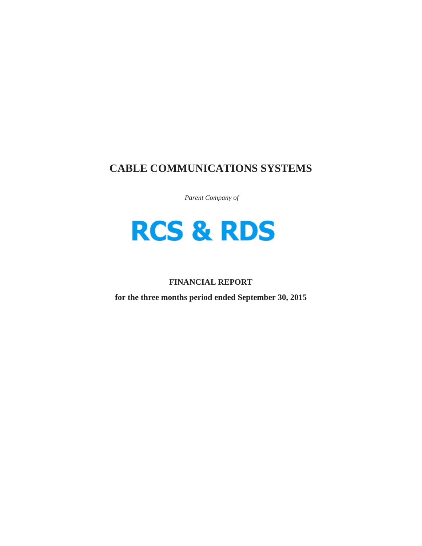# **CABLE COMMUNICATIONS SYSTEMS**

*Parent Company of*



# **FINANCIAL REPORT**

**for the three months period ended September 30, 2015**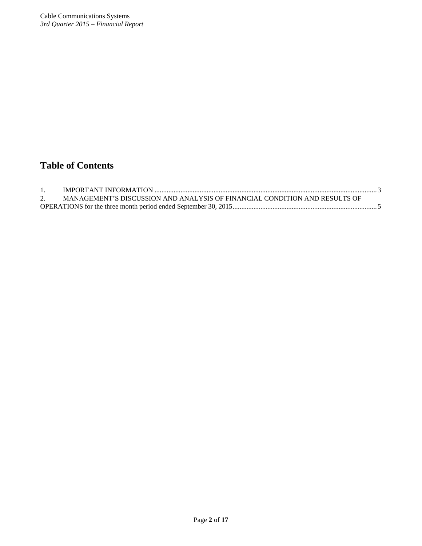# **Table of Contents**

| MANAGEMENT'S DISCUSSION AND ANALYSIS OF FINANCIAL CONDITION AND RESULTS OF |  |
|----------------------------------------------------------------------------|--|
|                                                                            |  |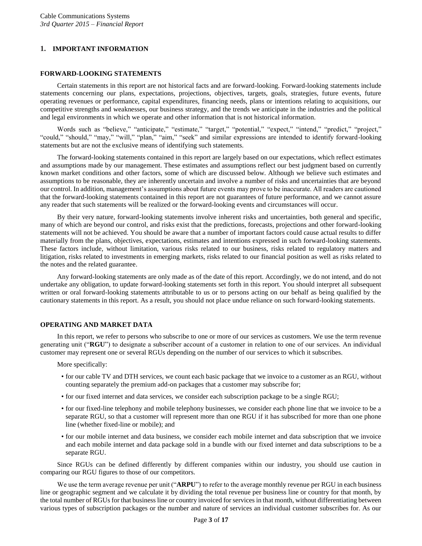# <span id="page-2-0"></span>**1. IMPORTANT INFORMATION**

# **FORWARD-LOOKING STATEMENTS**

Certain statements in this report are not historical facts and are forward-looking. Forward-looking statements include statements concerning our plans, expectations, projections, objectives, targets, goals, strategies, future events, future operating revenues or performance, capital expenditures, financing needs, plans or intentions relating to acquisitions, our competitive strengths and weaknesses, our business strategy, and the trends we anticipate in the industries and the political and legal environments in which we operate and other information that is not historical information.

Words such as "believe," "anticipate," "estimate," "target," "potential," "expect," "intend," "predict," "project," "could," "should," "may," "will," "plan," "aim," "seek" and similar expressions are intended to identify forward-looking statements but are not the exclusive means of identifying such statements.

The forward-looking statements contained in this report are largely based on our expectations, which reflect estimates and assumptions made by our management. These estimates and assumptions reflect our best judgment based on currently known market conditions and other factors, some of which are discussed below. Although we believe such estimates and assumptions to be reasonable, they are inherently uncertain and involve a number of risks and uncertainties that are beyond our control. In addition, management's assumptions about future events may prove to be inaccurate. All readers are cautioned that the forward-looking statements contained in this report are not guarantees of future performance, and we cannot assure any reader that such statements will be realized or the forward-looking events and circumstances will occur.

By their very nature, forward-looking statements involve inherent risks and uncertainties, both general and specific, many of which are beyond our control, and risks exist that the predictions, forecasts, projections and other forward-looking statements will not be achieved. You should be aware that a number of important factors could cause actual results to differ materially from the plans, objectives, expectations, estimates and intentions expressed in such forward-looking statements. These factors include, without limitation, various risks related to our business, risks related to regulatory matters and litigation, risks related to investments in emerging markets, risks related to our financial position as well as risks related to the notes and the related guarantee.

Any forward-looking statements are only made as of the date of this report. Accordingly, we do not intend, and do not undertake any obligation, to update forward-looking statements set forth in this report. You should interpret all subsequent written or oral forward-looking statements attributable to us or to persons acting on our behalf as being qualified by the cautionary statements in this report. As a result, you should not place undue reliance on such forward-looking statements.

# **OPERATING AND MARKET DATA**

In this report, we refer to persons who subscribe to one or more of our services as customers. We use the term revenue generating unit ("**RGU**") to designate a subscriber account of a customer in relation to one of our services. An individual customer may represent one or several RGUs depending on the number of our services to which it subscribes.

More specifically:

- for our cable TV and DTH services, we count each basic package that we invoice to a customer as an RGU, without counting separately the premium add-on packages that a customer may subscribe for;
- for our fixed internet and data services, we consider each subscription package to be a single RGU;
- for our fixed-line telephony and mobile telephony businesses, we consider each phone line that we invoice to be a separate RGU, so that a customer will represent more than one RGU if it has subscribed for more than one phone line (whether fixed-line or mobile); and
- for our mobile internet and data business, we consider each mobile internet and data subscription that we invoice and each mobile internet and data package sold in a bundle with our fixed internet and data subscriptions to be a separate RGU.

Since RGUs can be defined differently by different companies within our industry, you should use caution in comparing our RGU figures to those of our competitors.

We use the term average revenue per unit ("**ARPU**") to refer to the average monthly revenue per RGU in each business line or geographic segment and we calculate it by dividing the total revenue per business line or country for that month, by the total number of RGUs for that business line or country invoiced for services in that month, without differentiating between various types of subscription packages or the number and nature of services an individual customer subscribes for. As our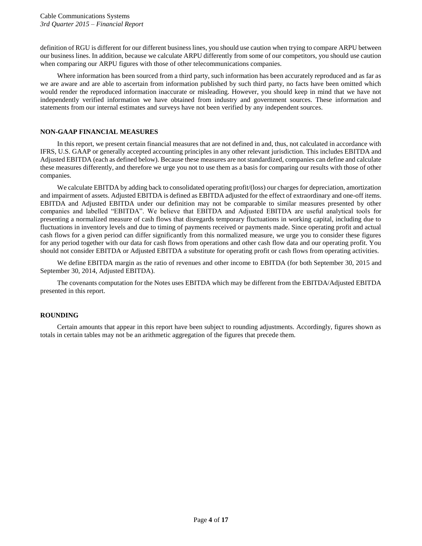definition of RGU is different for our different business lines, you should use caution when trying to compare ARPU between our business lines. In addition, because we calculate ARPU differently from some of our competitors, you should use caution when comparing our ARPU figures with those of other telecommunications companies.

Where information has been sourced from a third party, such information has been accurately reproduced and as far as we are aware and are able to ascertain from information published by such third party, no facts have been omitted which would render the reproduced information inaccurate or misleading. However, you should keep in mind that we have not independently verified information we have obtained from industry and government sources. These information and statements from our internal estimates and surveys have not been verified by any independent sources.

# **NON-GAAP FINANCIAL MEASURES**

In this report, we present certain financial measures that are not defined in and, thus, not calculated in accordance with IFRS, U.S. GAAP or generally accepted accounting principles in any other relevant jurisdiction. This includes EBITDA and Adjusted EBITDA (each as defined below). Because these measures are not standardized, companies can define and calculate these measures differently, and therefore we urge you not to use them as a basis for comparing our results with those of other companies.

We calculate EBITDA by adding back to consolidated operating profit/(loss) our charges for depreciation, amortization and impairment of assets. Adjusted EBITDA is defined as EBITDA adjusted for the effect of extraordinary and one-off items. EBITDA and Adjusted EBITDA under our definition may not be comparable to similar measures presented by other companies and labelled "EBITDA". We believe that EBITDA and Adjusted EBITDA are useful analytical tools for presenting a normalized measure of cash flows that disregards temporary fluctuations in working capital, including due to fluctuations in inventory levels and due to timing of payments received or payments made. Since operating profit and actual cash flows for a given period can differ significantly from this normalized measure, we urge you to consider these figures for any period together with our data for cash flows from operations and other cash flow data and our operating profit. You should not consider EBITDA or Adjusted EBITDA a substitute for operating profit or cash flows from operating activities.

We define EBITDA margin as the ratio of revenues and other income to EBITDA (for both September 30, 2015 and September 30, 2014, Adjusted EBITDA).

The covenants computation for the Notes uses EBITDA which may be different from the EBITDA/Adjusted EBITDA presented in this report.

### **ROUNDING**

Certain amounts that appear in this report have been subject to rounding adjustments. Accordingly, figures shown as totals in certain tables may not be an arithmetic aggregation of the figures that precede them.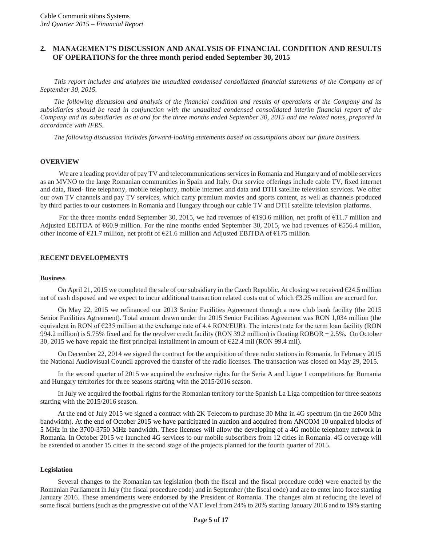# <span id="page-4-0"></span>**2. MANAGEMENT'S DISCUSSION AND ANALYSIS OF FINANCIAL CONDITION AND RESULTS OF OPERATIONS for the three month period ended September 30, 2015**

*This report includes and analyses the unaudited condensed consolidated financial statements of the Company as of September 30, 2015.*

*The following discussion and analysis of the financial condition and results of operations of the Company and its subsidiaries should be read in conjunction with the unaudited condensed consolidated interim financial report of the Company and its subsidiaries as at and for the three months ended September 30, 2015 and the related notes, prepared in accordance with IFRS.*

*The following discussion includes forward-looking statements based on assumptions about our future business.*

#### **OVERVIEW**

We are a leading provider of pay TV and telecommunications services in Romania and Hungary and of mobile services as an MVNO to the large Romanian communities in Spain and Italy. Our service offerings include cable TV, fixed internet and data, fixed- line telephony, mobile telephony, mobile internet and data and DTH satellite television services. We offer our own TV channels and pay TV services, which carry premium movies and sports content, as well as channels produced by third parties to our customers in Romania and Hungary through our cable TV and DTH satellite television platforms.

For the three months ended September 30, 2015, we had revenues of €193.6 million, net profit of €11.7 million and Adjusted EBITDA of €60.9 million. For the nine months ended September 30, 2015, we had revenues of €556.4 million, other income of  $\epsilon$ 21.7 million, net profit of  $\epsilon$ 21.6 million and Adjusted EBITDA of  $\epsilon$ 175 million.

# **RECENT DEVELOPMENTS**

#### **Business**

On April 21, 2015 we completed the sale of our subsidiary in the Czech Republic. At closing we received  $\epsilon$ 24.5 million net of cash disposed and we expect to incur additional transaction related costs out of which  $\epsilon$ 3.25 million are accrued for.

On May 22, 2015 we refinanced our 2013 Senior Facilities Agreement through a new club bank facility (the 2015 Senior Facilities Agreement). Total amount drawn under the 2015 Senior Facilities Agreement was RON 1,034 million (the equivalent in RON of  $\epsilon$ 235 million at the exchange rate of 4.4 RON/EUR). The interest rate for the term loan facility (RON 994.2 million) is 5.75% fixed and for the revolver credit facility (RON 39.2 million) is floating ROBOR + 2.5%. On October 30, 2015 we have repaid the first principal installment in amount of  $\epsilon$ 22.4 mil (RON 99.4 mil).

On December 22, 2014 we signed the contract for the acquisition of three radio stations in Romania. In February 2015 the National Audiovisual Council approved the transfer of the radio licenses. The transaction was closed on May 29, 2015.

In the second quarter of 2015 we acquired the exclusive rights for the Seria A and Ligue 1 competitions for Romania and Hungary territories for three seasons starting with the 2015/2016 season.

In July we acquired the football rights for the Romanian territory for the Spanish La Liga competition for three seasons starting with the 2015/2016 season.

At the end of July 2015 we signed a contract with 2K Telecom to purchase 30 Mhz in 4G spectrum (in the 2600 Mhz bandwidth). At the end of October 2015 we have participated in auction and acquired from ANCOM 10 unpaired blocks of 5 MHz in the 3700-3750 MHz bandwidth. These licenses will allow the developing of a 4G mobile telephony network in Romania. In October 2015 we launched 4G services to our mobile subscribers from 12 cities in Romania. 4G coverage will be extended to another 15 cities in the second stage of the projects planned for the fourth quarter of 2015.

#### **Legislation**

Several changes to the Romanian tax legislation (both the fiscal and the fiscal procedure code) were enacted by the Romanian Parliament in July (the fiscal procedure code) and in September (the fiscal code) and are to enter into force starting January 2016. These amendments were endorsed by the President of Romania. The changes aim at reducing the level of some fiscal burdens (such as the progressive cut of the VAT level from 24% to 20% starting January 2016 and to 19% starting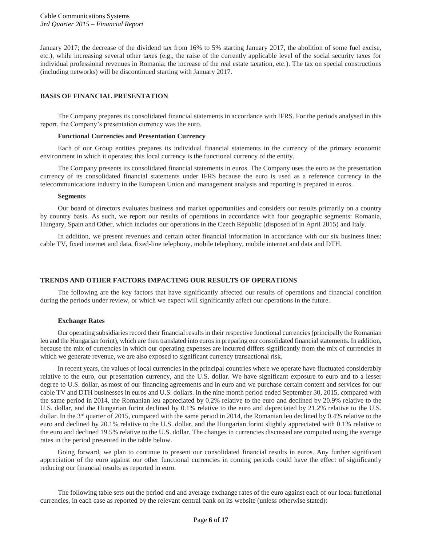January 2017; the decrease of the dividend tax from 16% to 5% starting January 2017, the abolition of some fuel excise, etc.), while increasing several other taxes (e.g., the raise of the currently applicable level of the social security taxes for individual professional revenues in Romania; the increase of the real estate taxation, etc.). The tax on special constructions (including networks) will be discontinued starting with January 2017.

# **BASIS OF FINANCIAL PRESENTATION**

The Company prepares its consolidated financial statements in accordance with IFRS. For the periods analysed in this report, the Company's presentation currency was the euro.

#### **Functional Currencies and Presentation Currency**

Each of our Group entities prepares its individual financial statements in the currency of the primary economic environment in which it operates; this local currency is the functional currency of the entity.

The Company presents its consolidated financial statements in euros. The Company uses the euro as the presentation currency of its consolidated financial statements under IFRS because the euro is used as a reference currency in the telecommunications industry in the European Union and management analysis and reporting is prepared in euros.

#### **Segments**

Our board of directors evaluates business and market opportunities and considers our results primarily on a country by country basis. As such, we report our results of operations in accordance with four geographic segments: Romania, Hungary, Spain and Other, which includes our operations in the Czech Republic (disposed of in April 2015) and Italy.

In addition, we present revenues and certain other financial information in accordance with our six business lines: cable TV, fixed internet and data, fixed-line telephony, mobile telephony, mobile internet and data and DTH.

#### **TRENDS AND OTHER FACTORS IMPACTING OUR RESULTS OF OPERATIONS**

The following are the key factors that have significantly affected our results of operations and financial condition during the periods under review, or which we expect will significantly affect our operations in the future.

#### **Exchange Rates**

Our operating subsidiaries record their financial results in their respective functional currencies (principally the Romanian leu and the Hungarian forint), which are then translated into euros in preparing our consolidated financial statements. In addition, because the mix of currencies in which our operating expenses are incurred differs significantly from the mix of currencies in which we generate revenue, we are also exposed to significant currency transactional risk.

In recent years, the values of local currencies in the principal countries where we operate have fluctuated considerably relative to the euro, our presentation currency, and the U.S. dollar. We have significant exposure to euro and to a lesser degree to U.S. dollar, as most of our financing agreements and in euro and we purchase certain content and services for our cable TV and DTH businesses in euros and U.S. dollars. In the nine month period ended September 30, 2015, compared with the same period in 2014, the Romanian leu appreciated by 0.2% relative to the euro and declined by 20.9% relative to the U.S. dollar, and the Hungarian forint declined by 0.1% relative to the euro and depreciated by 21.2% relative to the U.S. dollar. In the 3<sup>rd</sup> quarter of 2015, compared with the same period in 2014, the Romanian leu declined by 0.4% relative to the euro and declined by 20.1% relative to the U.S. dollar, and the Hungarian forint slightly appreciated with 0.1% relative to the euro and declined 19.5% relative to the U.S. dollar. The changes in currencies discussed are computed using the average rates in the period presented in the table below.

Going forward, we plan to continue to present our consolidated financial results in euros. Any further significant appreciation of the euro against our other functional currencies in coming periods could have the effect of significantly reducing our financial results as reported in euro.

The following table sets out the period end and average exchange rates of the euro against each of our local functional currencies, in each case as reported by the relevant central bank on its website (unless otherwise stated):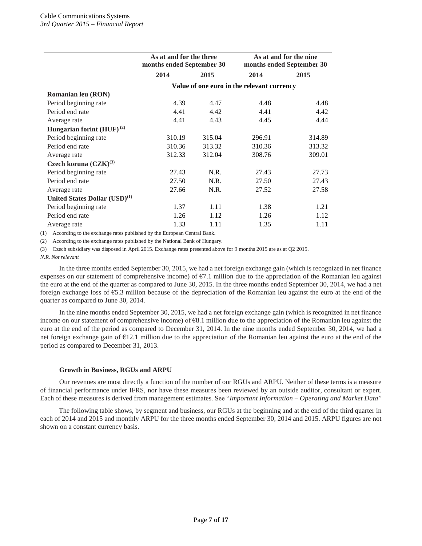|                                           | As at and for the three<br>months ended September 30 |        | As at and for the nine<br>months ended September 30 |        |  |  |  |
|-------------------------------------------|------------------------------------------------------|--------|-----------------------------------------------------|--------|--|--|--|
|                                           | 2014                                                 | 2015   |                                                     | 2015   |  |  |  |
|                                           | Value of one euro in the relevant currency           |        |                                                     |        |  |  |  |
| Romanian leu (RON)                        |                                                      |        |                                                     |        |  |  |  |
| Period beginning rate                     | 4.39                                                 | 4.47   | 4.48                                                | 4.48   |  |  |  |
| Period end rate                           | 4.41                                                 | 4.42   | 4.41                                                | 4.42   |  |  |  |
| Average rate                              | 4.41                                                 | 4.43   | 4.45                                                | 4.44   |  |  |  |
| Hungarian forint $(HUF)^{(2)}$            |                                                      |        |                                                     |        |  |  |  |
| Period beginning rate                     | 310.19                                               | 315.04 | 296.91                                              | 314.89 |  |  |  |
| Period end rate                           | 310.36                                               | 313.32 | 310.36                                              | 313.32 |  |  |  |
| Average rate                              | 312.33                                               | 312.04 | 308.76                                              | 309.01 |  |  |  |
| Czech koruna $(CZK)^{(3)}$                |                                                      |        |                                                     |        |  |  |  |
| Period beginning rate                     | 27.43                                                | N.R.   | 27.43                                               | 27.73  |  |  |  |
| Period end rate                           | 27.50                                                | N.R.   | 27.50                                               | 27.43  |  |  |  |
| Average rate                              | 27.66                                                | N.R.   | 27.52                                               | 27.58  |  |  |  |
| United States Dollar (USD) <sup>(1)</sup> |                                                      |        |                                                     |        |  |  |  |
| Period beginning rate                     | 1.37                                                 | 1.11   | 1.38                                                | 1.21   |  |  |  |
| Period end rate                           | 1.26                                                 | 1.12   | 1.26                                                | 1.12   |  |  |  |
| Average rate                              | 1.33                                                 | 1.11   | 1.35                                                | 1.11   |  |  |  |

(1) According to the exchange rates published by the European Central Bank.

(2) According to the exchange rates published by the National Bank of Hungary.

(3) Czech subsidiary was disposed in April 2015. Exchange rates presented above for 9 months 2015 are as at Q2 2015.

*N.R. Not relevant*

In the three months ended September 30, 2015, we had a net foreign exchange gain (which is recognized in net finance expenses on our statement of comprehensive income) of  $\epsilon$ 7.1 million due to the appreciation of the Romanian leu against the euro at the end of the quarter as compared to June 30, 2015. In the three months ended September 30, 2014, we had a net foreign exchange loss of €5.3 million because of the depreciation of the Romanian leu against the euro at the end of the quarter as compared to June 30, 2014.

In the nine months ended September 30, 2015, we had a net foreign exchange gain (which is recognized in net finance income on our statement of comprehensive income) of  $68.1$  million due to the appreciation of the Romanian leu against the euro at the end of the period as compared to December 31, 2014. In the nine months ended September 30, 2014, we had a net foreign exchange gain of  $\epsilon$ 12.1 million due to the appreciation of the Romanian leu against the euro at the end of the period as compared to December 31, 2013.

#### **Growth in Business, RGUs and ARPU**

Our revenues are most directly a function of the number of our RGUs and ARPU. Neither of these terms is a measure of financial performance under IFRS, nor have these measures been reviewed by an outside auditor, consultant or expert. Each of these measures is derived from management estimates. See "*Important Information – Operating and Market Data*"

The following table shows, by segment and business, our RGUs at the beginning and at the end of the third quarter in each of 2014 and 2015 and monthly ARPU for the three months ended September 30, 2014 and 2015. ARPU figures are not shown on a constant currency basis.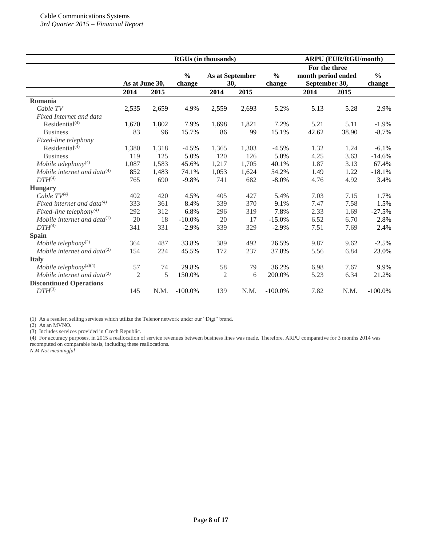|                                     | <b>RGUs (in thousands)</b> |       |                         |                        |       | <b>ARPU (EUR/RGU/month)</b> |                                                      |       |                         |
|-------------------------------------|----------------------------|-------|-------------------------|------------------------|-------|-----------------------------|------------------------------------------------------|-------|-------------------------|
|                                     | As at June 30,             |       | $\frac{0}{0}$<br>change | As at September<br>30, |       | $\frac{0}{0}$<br>change     | For the three<br>month period ended<br>September 30, |       | $\frac{6}{6}$<br>change |
|                                     | 2014                       | 2015  |                         | 2014                   | 2015  |                             | 2014                                                 | 2015  |                         |
| Romania                             |                            |       |                         |                        |       |                             |                                                      |       |                         |
| Cable TV                            | 2,535                      | 2,659 | 4.9%                    | 2,559                  | 2,693 | 5.2%                        | 5.13                                                 | 5.28  | 2.9%                    |
| Fixed Internet and data             |                            |       |                         |                        |       |                             |                                                      |       |                         |
| Residential <sup>(4)</sup>          | 1,670                      | 1,802 | 7.9%                    | 1,698                  | 1,821 | 7.2%                        | 5.21                                                 | 5.11  | $-1.9%$                 |
| <b>Business</b>                     | 83                         | 96    | 15.7%                   | 86                     | 99    | 15.1%                       | 42.62                                                | 38.90 | $-8.7%$                 |
| Fixed-line telephony                |                            |       |                         |                        |       |                             |                                                      |       |                         |
| Residential $(4)$                   | 1,380                      | 1,318 | $-4.5%$                 | 1,365                  | 1,303 | $-4.5%$                     | 1.32                                                 | 1.24  | $-6.1%$                 |
| <b>Business</b>                     | 119                        | 125   | 5.0%                    | 120                    | 126   | 5.0%                        | 4.25                                                 | 3.63  | $-14.6%$                |
| Mobile telephony $(4)$              | 1,087                      | 1,583 | 45.6%                   | 1,217                  | 1,705 | 40.1%                       | 1.87                                                 | 3.13  | 67.4%                   |
| Mobile internet and data $(4)$      | 852                        | 1,483 | 74.1%                   | 1,053                  | 1,624 | 54.2%                       | 1.49                                                 | 1.22  | $-18.1%$                |
| $DTH^{(4)}$                         | 765                        | 690   | $-9.8%$                 | 741                    | 682   | $-8.0%$                     | 4.76                                                 | 4.92  | 3.4%                    |
| <b>Hungary</b>                      |                            |       |                         |                        |       |                             |                                                      |       |                         |
| Cable $TV^{(4)}$                    | 402                        | 420   | 4.5%                    | 405                    | 427   | 5.4%                        | 7.03                                                 | 7.15  | 1.7%                    |
| Fixed internet and data $^{(4)}$    | 333                        | 361   | 8.4%                    | 339                    | 370   | 9.1%                        | 7.47                                                 | 7.58  | 1.5%                    |
| Fixed-line telephony <sup>(4)</sup> | 292                        | 312   | 6.8%                    | 296                    | 319   | 7.8%                        | 2.33                                                 | 1.69  | $-27.5%$                |
| Mobile internet and data $^{(1)}$   | 20                         | 18    | $-10.0%$                | 20                     | 17    | $-15.0%$                    | 6.52                                                 | 6.70  | 2.8%                    |
| $DTH^{(4)}$                         | 341                        | 331   | $-2.9%$                 | 339                    | 329   | $-2.9%$                     | 7.51                                                 | 7.69  | 2.4%                    |
| <b>Spain</b>                        |                            |       |                         |                        |       |                             |                                                      |       |                         |
| Mobile telephony <sup>(2)</sup>     | 364                        | 487   | 33.8%                   | 389                    | 492   | 26.5%                       | 9.87                                                 | 9.62  | $-2.5%$                 |
| Mobile internet and data $^{(2)}$   | 154                        | 224   | 45.5%                   | 172                    | 237   | 37.8%                       | 5.56                                                 | 6.84  | 23.0%                   |
| <b>Italy</b>                        |                            |       |                         |                        |       |                             |                                                      |       |                         |
| Mobile telephony <sup>(2)(4)</sup>  | 57                         | 74    | 29.8%                   | 58                     | 79    | 36.2%                       | 6.98                                                 | 7.67  | 9.9%                    |
| Mobile internet and data $^{(2)}$   | $\overline{2}$             | 5     | 150.0%                  | $\mathfrak{2}$         | 6     | 200.0%                      | 5.23                                                 | 6.34  | 21.2%                   |
| <b>Discontinued Operations</b>      |                            |       |                         |                        |       |                             |                                                      |       |                         |
| $DTH^{(3)}$                         | 145                        | N.M.  | $-100.0\%$              | 139                    | N.M.  | $-100.0\%$                  | 7.82                                                 | N.M.  | $-100.0\%$              |

(1) As a reseller, selling services which utilize the Telenor network under our "Digi" brand.

(2) As an MVNO.

(3) Includes services provided in Czech Republic.

(4) For accuracy purposes, in 2015 a reallocation of service revenues between business lines was made. Therefore, ARPU comparative for 3 months 2014 was recomputed on comparable basis, including these reallocations.

*N.M Not meaningful*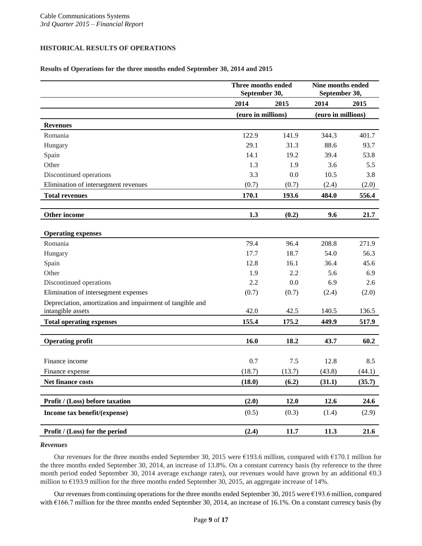# **HISTORICAL RESULTS OF OPERATIONS**

# **Results of Operations for the three months ended September 30, 2014 and 2015**

|                                                                                | Three months ended<br>September 30, |        | Nine months ended<br>September 30, |        |
|--------------------------------------------------------------------------------|-------------------------------------|--------|------------------------------------|--------|
|                                                                                | 2014                                | 2015   | 2014                               | 2015   |
|                                                                                | (euro in millions)                  |        | (euro in millions)                 |        |
| <b>Revenues</b>                                                                |                                     |        |                                    |        |
| Romania                                                                        | 122.9                               | 141.9  | 344.3                              | 401.7  |
| Hungary                                                                        | 29.1                                | 31.3   | 88.6                               | 93.7   |
| Spain                                                                          | 14.1                                | 19.2   | 39.4                               | 53.8   |
| Other                                                                          | 1.3                                 | 1.9    | 3.6                                | 5.5    |
| Discontinued operations                                                        | 3.3                                 | 0.0    | 10.5                               | 3.8    |
| Elimination of intersegment revenues                                           | (0.7)                               | (0.7)  | (2.4)                              | (2.0)  |
| <b>Total revenues</b>                                                          | 170.1                               | 193.6  | 484.0                              | 556.4  |
|                                                                                |                                     |        |                                    |        |
| Other income                                                                   | 1.3                                 | (0.2)  | 9.6                                | 21.7   |
| <b>Operating expenses</b>                                                      |                                     |        |                                    |        |
| Romania                                                                        | 79.4                                | 96.4   | 208.8                              | 271.9  |
| Hungary                                                                        | 17.7                                | 18.7   | 54.0                               | 56.3   |
| Spain                                                                          | 12.8                                | 16.1   | 36.4                               | 45.6   |
| Other                                                                          | 1.9                                 | 2.2    | 5.6                                | 6.9    |
| Discontinued operations                                                        | 2.2                                 | 0.0    | 6.9                                | 2.6    |
| Elimination of intersegment expenses                                           | (0.7)                               | (0.7)  | (2.4)                              | (2.0)  |
| Depreciation, amortization and impairment of tangible and<br>intangible assets | 42.0                                | 42.5   | 140.5                              | 136.5  |
| <b>Total operating expenses</b>                                                | 155.4                               | 175.2  | 449.9                              | 517.9  |
|                                                                                |                                     |        |                                    |        |
| <b>Operating profit</b>                                                        | 16.0                                | 18.2   | 43.7                               | 60.2   |
|                                                                                |                                     |        |                                    |        |
| Finance income                                                                 | 0.7                                 | 7.5    | 12.8                               | 8.5    |
| Finance expense                                                                | (18.7)                              | (13.7) | (43.8)                             | (44.1) |
| Net finance costs                                                              | (18.0)                              | (6.2)  | (31.1)                             | (35.7) |
|                                                                                |                                     |        |                                    |        |
| <b>Profit / (Loss) before taxation</b>                                         | (2.0)                               | 12.0   | 12.6                               | 24.6   |
| Income tax benefit/(expense)                                                   | (0.5)                               | (0.3)  | (1.4)                              | (2.9)  |
| Profit / (Loss) for the period                                                 | (2.4)                               | 11.7   | 11.3                               | 21.6   |

#### *Revenues*

Our revenues for the three months ended September 30, 2015 were €193.6 million, compared with €170.1 million for the three months ended September 30, 2014, an increase of 13.8%. On a constant currency basis (by reference to the three month period ended September 30, 2014 average exchange rates), our revenues would have grown by an additional €0.3 million to €193.9 million for the three months ended September 30, 2015, an aggregate increase of 14%.

Our revenues from continuing operations for the three months ended September 30, 2015 were €193.6 million, compared with  $\epsilon$ 166.7 million for the three months ended September 30, 2014, an increase of 16.1%. On a constant currency basis (by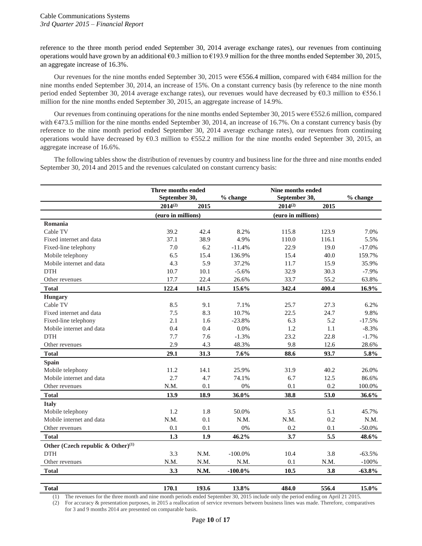reference to the three month period ended September 30, 2014 average exchange rates), our revenues from continuing operations would have grown by an additional €0.3 million to €193.9 million for the three months ended September 30, 2015, an aggregate increase of 16.3%.

Our revenues for the nine months ended September 30, 2015 were €556.4 million, compared with €484 million for the nine months ended September 30, 2014, an increase of 15%. On a constant currency basis (by reference to the nine month period ended September 30, 2014 average exchange rates), our revenues would have decreased by €0.3 million to €556.1 million for the nine months ended September 30, 2015, an aggregate increase of 14.9%.

Our revenues from continuing operations for the nine months ended September 30, 2015 were €552.6 million, compared with €473.5 million for the nine months ended September 30, 2014, an increase of 16.7%. On a constant currency basis (by reference to the nine month period ended September 30, 2014 average exchange rates), our revenues from continuing operations would have decreased by  $60.3$  million to  $6552.2$  million for the nine months ended September 30, 2015, an aggregate increase of 16.6%.

The following tables show the distribution of revenues by country and business line for the three and nine months ended September 30, 2014 and 2015 and the revenues calculated on constant currency basis:

|                                               | Three months ended<br>September 30, |                                          | % change   | Nine months ended<br>September 30, |       | % change  |
|-----------------------------------------------|-------------------------------------|------------------------------------------|------------|------------------------------------|-------|-----------|
|                                               | $2014^{(2)}$                        | 2015                                     |            | $2014^{(2)}$                       | 2015  |           |
|                                               |                                     | (euro in millions)<br>(euro in millions) |            |                                    |       |           |
| Romania                                       |                                     |                                          |            |                                    |       |           |
| Cable TV                                      | 39.2                                | 42.4                                     | 8.2%       | 115.8                              | 123.9 | 7.0%      |
| Fixed internet and data                       | 37.1                                | 38.9                                     | 4.9%       | 110.0                              | 116.1 | 5.5%      |
| Fixed-line telephony                          | 7.0                                 | 6.2                                      | $-11.4%$   | 22.9                               | 19.0  | $-17.0%$  |
| Mobile telephony                              | 6.5                                 | 15.4                                     | 136.9%     | 15.4                               | 40.0  | 159.7%    |
| Mobile internet and data                      | 4.3                                 | 5.9                                      | 37.2%      | 11.7                               | 15.9  | 35.9%     |
| <b>DTH</b>                                    | 10.7                                | 10.1                                     | $-5.6%$    | 32.9                               | 30.3  | $-7.9%$   |
| Other revenues                                | 17.7                                | 22.4                                     | 26.6%      | 33.7                               | 55.2  | 63.8%     |
| <b>Total</b>                                  | 122.4                               | 141.5                                    | 15.6%      | 342.4                              | 400.4 | 16.9%     |
| <b>Hungary</b>                                |                                     |                                          |            |                                    |       |           |
| Cable TV                                      | 8.5                                 | 9.1                                      | 7.1%       | 25.7                               | 27.3  | 6.2%      |
| Fixed internet and data                       | 7.5                                 | 8.3                                      | 10.7%      | 22.5                               | 24.7  | 9.8%      |
| Fixed-line telephony                          | 2.1                                 | 1.6                                      | $-23.8%$   | 6.3                                | 5.2   | $-17.5%$  |
| Mobile internet and data                      | 0.4                                 | 0.4                                      | 0.0%       | 1.2                                | 1.1   | $-8.3%$   |
| <b>DTH</b>                                    | 7.7                                 | 7.6                                      | $-1.3%$    | 23.2                               | 22.8  | $-1.7%$   |
| Other revenues                                | 2.9                                 | 4.3                                      | 48.3%      | 9.8                                | 12.6  | 28.6%     |
| <b>Total</b>                                  | 29.1                                | 31.3                                     | 7.6%       | 88.6                               | 93.7  | 5.8%      |
| <b>Spain</b>                                  |                                     |                                          |            |                                    |       |           |
| Mobile telephony                              | 11.2                                | 14.1                                     | 25.9%      | 31.9                               | 40.2  | 26.0%     |
| Mobile internet and data                      | 2.7                                 | 4.7                                      | 74.1%      | 6.7                                | 12.5  | 86.6%     |
| Other revenues                                | N.M.                                | 0.1                                      | 0%         | 0.1                                | 0.2   | 100.0%    |
| <b>Total</b>                                  | 13.9                                | 18.9                                     | 36.0%      | 38.8                               | 53.0  | 36.6%     |
| <b>Italy</b>                                  |                                     |                                          |            |                                    |       |           |
| Mobile telephony                              | 1.2                                 | 1.8                                      | 50.0%      | 3.5                                | 5.1   | 45.7%     |
| Mobile internet and data                      | N.M.                                | 0.1                                      | N.M.       | N.M.                               | 0.2   | N.M.      |
| Other revenues                                | 0.1                                 | 0.1                                      | 0%         | 0.2                                | 0.1   | $-50.0\%$ |
| <b>Total</b>                                  | 1.3                                 | 1.9                                      | 46.2%      | 3.7                                | 5.5   | 48.6%     |
| Other (Czech republic & Other) <sup>(1)</sup> |                                     |                                          |            |                                    |       |           |
| <b>DTH</b>                                    | 3.3                                 | N.M.                                     | $-100.0\%$ | 10.4                               | 3.8   | $-63.5%$  |
| Other revenues                                | N.M.                                | N.M.                                     | N.M.       | 0.1                                | N.M.  | $-100%$   |
| <b>Total</b>                                  | 3.3                                 | N.M.                                     | $-100.0\%$ | 10.5                               | 3.8   | $-63.8%$  |
|                                               |                                     |                                          |            |                                    |       |           |

**Total 170.1 193.6 13.8% 484.0 556.4 15.0%** (1) The revenues for the three month and nine month periods ended September 30, 2015 include only the period ending on April 21 2015.

(2) For accuracy & presentation purposes, in 2015 a reallocation of service revenues between business lines was made. Therefore, comparatives for 3 and 9 months 2014 are presented on comparable basis.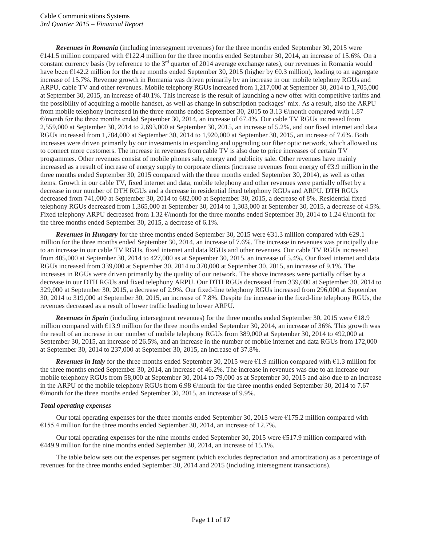*Revenues in Romania* (including intersegment revenues) for the three months ended September 30, 2015 were €141.5 million compared with €122.4 million for the three months ended September 30, 2014, an increase of 15.6%. On a constant currency basis (by reference to the  $3<sup>rd</sup>$  quarter of 2014 average exchange rates), our revenues in Romania would have been €142.2 million for the three months ended September 30, 2015 (higher by €0.3 million), leading to an aggregate increase of 15.7%. Revenue growth in Romania was driven primarily by an increase in our mobile telephony RGUs and ARPU, cable TV and other revenues. Mobile telephony RGUs increased from 1,217,000 at September 30, 2014 to 1,705,000 at September 30, 2015, an increase of 40.1%. This increase is the result of launching a new offer with competitive tariffs and the possibility of acquiring a mobile handset, as well as change in subscription packages' mix. As a result, also the ARPU from mobile telephony increased in the three months ended September 30, 2015 to 3.13 €/month compared with 1.87 €/month for the three months ended September 30, 2014, an increase of 67.4%. Our cable TV RGUs increased from 2,559,000 at September 30, 2014 to 2,693,000 at September 30, 2015, an increase of 5.2%, and our fixed internet and data RGUs increased from 1,784,000 at September 30, 2014 to 1,920,000 at September 30, 2015, an increase of 7.6%. Both increases were driven primarily by our investments in expanding and upgrading our fiber optic network, which allowed us to connect more customers. The increase in revenues from cable TV is also due to price increases of certain TV programmes. Other revenues consist of mobile phones sale, energy and publicity sale. Other revenues have mainly increased as a result of increase of energy supply to corporate clients (increase revenues from energy of  $63.9$  million in the three months ended September 30, 2015 compared with the three months ended September 30, 2014), as well as other items. Growth in our cable TV, fixed internet and data, mobile telephony and other revenues were partially offset by a decrease in our number of DTH RGUs and a decrease in residential fixed telephony RGUs and ARPU. DTH RGUs decreased from 741,000 at September 30, 2014 to 682,000 at September 30, 2015, a decrease of 8%. Residential fixed telephony RGUs decreased from 1,365,000 at September 30, 2014 to 1,303,000 at September 30, 2015, a decrease of 4.5%. Fixed telephony ARPU decreased from 1.32  $\epsilon$ /month for the three months ended September 30, 2014 to 1.24  $\epsilon$ /month for the three months ended September 30, 2015, a decrease of 6.1%.

*Revenues in Hungary* for the three months ended September 30, 2015 were €31.3 million compared with €29.1 million for the three months ended September 30, 2014, an increase of 7.6%. The increase in revenues was principally due to an increase in our cable TV RGUs, fixed internet and data RGUs and other revenues. Our cable TV RGUs increased from 405,000 at September 30, 2014 to 427,000 as at September 30, 2015, an increase of 5.4%. Our fixed internet and data RGUs increased from 339,000 at September 30, 2014 to 370,000 at September 30, 2015, an increase of 9.1%. The increases in RGUs were driven primarily by the quality of our network. The above increases were partially offset by a decrease in our DTH RGUs and fixed telephony ARPU. Our DTH RGUs decreased from 339,000 at September 30, 2014 to 329,000 at September 30, 2015, a decrease of 2.9%. Our fixed-line telephony RGUs increased from 296,000 at September 30, 2014 to 319,000 at September 30, 2015, an increase of 7.8%. Despite the increase in the fixed-line telephony RGUs, the revenues decreased as a result of lower traffic leading to lower ARPU.

*Revenues in Spain* (including intersegment revenues) for the three months ended September 30, 2015 were €18.9 million compared with  $\epsilon$ 13.9 million for the three months ended September 30, 2014, an increase of 36%. This growth was the result of an increase in our number of mobile telephony RGUs from 389,000 at September 30, 2014 to 492,000 at September 30, 2015, an increase of 26.5%, and an increase in the number of mobile internet and data RGUs from 172,000 at September 30, 2014 to 237,000 at September 30, 2015, an increase of 37.8%.

*Revenues in Italy* for the three months ended September 30, 2015 were €1.9 million compared with €1.3 million for the three months ended September 30, 2014, an increase of 46.2%. The increase in revenues was due to an increase our mobile telephony RGUs from 58,000 at September 30, 2014 to 79,000 as at September 30, 2015 and also due to an increase in the ARPU of the mobile telephony RGUs from 6.98  $\epsilon$ /month for the three months ended September 30, 2014 to 7.67 €/month for the three months ended September 30, 2015, an increase of 9.9%.

# *Total operating expenses*

Our total operating expenses for the three months ended September 30, 2015 were  $E175.2$  million compared with  $E155.4$  million for the three months ended September 30, 2014, an increase of 12.7%.

Our total operating expenses for the nine months ended September 30, 2015 were €517.9 million compared with  $\text{\textsterling}449.9$  million for the nine months ended September 30, 2014, an increase of 15.1%.

The table below sets out the expenses per segment (which excludes depreciation and amortization) as a percentage of revenues for the three months ended September 30, 2014 and 2015 (including intersegment transactions).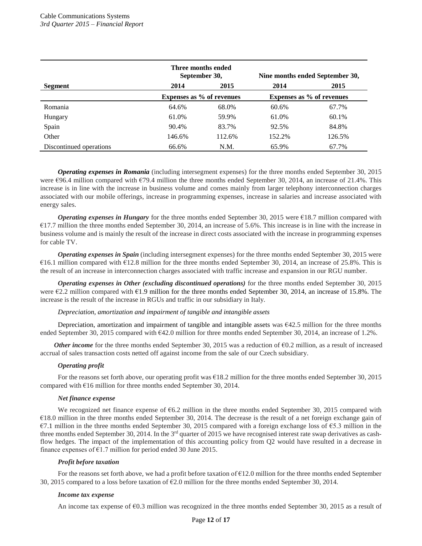|                         | Nine months ended September 30, |                           |        |        |  |                                  |
|-------------------------|---------------------------------|---------------------------|--------|--------|--|----------------------------------|
| Segment                 | 2014                            | 2015                      |        | 2015   |  |                                  |
|                         |                                 | Expenses as % of revenues |        |        |  | <b>Expenses as % of revenues</b> |
| Romania                 | 64.6%                           | 68.0%                     | 60.6%  | 67.7%  |  |                                  |
| Hungary                 | 61.0%                           | 59.9%                     | 61.0%  | 60.1%  |  |                                  |
| Spain                   | 90.4%                           | 83.7%                     | 92.5%  | 84.8%  |  |                                  |
| Other                   | 146.6%                          | 112.6%                    | 152.2% | 126.5% |  |                                  |
| Discontinued operations | 66.6%                           | N.M.                      | 65.9%  | 67.7%  |  |                                  |

*Operating expenses in Romania* (including intersegment expenses) for the three months ended September 30, 2015 were €96.4 million compared with €79.4 million the three months ended September 30, 2014, an increase of 21.4%. This increase is in line with the increase in business volume and comes mainly from larger telephony interconnection charges associated with our mobile offerings, increase in programming expenses, increase in salaries and increase associated with energy sales.

*Operating expenses in Hungary* for the three months ended September 30, 2015 were €18.7 million compared with  $E17.7$  million the three months ended September 30, 2014, an increase of 5.6%. This increase is in line with the increase in business volume and is mainly the result of the increase in direct costs associated with the increase in programming expenses for cable TV.

*Operating expenses in Spain* (including intersegment expenses) for the three months ended September 30, 2015 were  $€16.1$  million compared with  $€12.8$  million for the three months ended September 30, 2014, an increase of 25.8%. This is the result of an increase in interconnection charges associated with traffic increase and expansion in our RGU number.

*Operating expenses in Other (excluding discontinued operations)* for the three months ended September 30, 2015 were  $E2.2$  million compared with  $E1.9$  million for the three months ended September 30, 2014, an increase of 15.8%. The increase is the result of the increase in RGUs and traffic in our subsidiary in Italy.

#### *Depreciation, amortization and impairment of tangible and intangible assets*

Depreciation, amortization and impairment of tangible and intangible assets was  $\epsilon$ 42.5 million for the three months ended September 30, 2015 compared with €42.0 million for three months ended September 30, 2014, an increase of 1.2%.

*Other income* for the three months ended September 30, 2015 was a reduction of  $\epsilon$ 0.2 million, as a result of increased accrual of sales transaction costs netted off against income from the sale of our Czech subsidiary.

#### *Operating profit*

For the reasons set forth above, our operating profit was €18.2 million for the three months ended September 30, 2015 compared with  $\epsilon$ 16 million for three months ended September 30, 2014.

#### *Net finance expense*

We recognized net finance expense of €6.2 million in the three months ended September 30, 2015 compared with €18.0 million in the three months ended September 30, 2014. The decrease is the result of a net foreign exchange gain of €7.1 million in the three months ended September 30, 2015 compared with a foreign exchange loss of €5.3 million in the three months ended September 30, 2014. In the  $3<sup>rd</sup>$  quarter of 2015 we have recognised interest rate swap derivatives as cashflow hedges. The impact of the implementation of this accounting policy from Q2 would have resulted in a decrease in finance expenses of  $E1.7$  million for period ended 30 June 2015.

#### *Profit before taxation*

For the reasons set forth above, we had a profit before taxation of  $\epsilon$ 12.0 million for the three months ended September 30, 2015 compared to a loss before taxation of  $\epsilon$ 2.0 million for the three months ended September 30, 2014.

#### *Income tax expense*

An income tax expense of  $\epsilon$ 0.3 million was recognized in the three months ended September 30, 2015 as a result of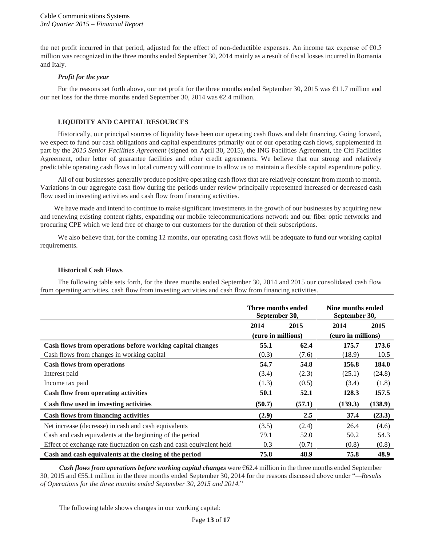the net profit incurred in that period, adjusted for the effect of non-deductible expenses. An income tax expense of  $\epsilon$ 0.5 million was recognized in the three months ended September 30, 2014 mainly as a result of fiscal losses incurred in Romania and Italy.

# *Profit for the year*

For the reasons set forth above, our net profit for the three months ended September 30, 2015 was €11.7 million and our net loss for the three months ended September 30, 2014 was  $\epsilon$ 2.4 million.

# **LIQUIDITY AND CAPITAL RESOURCES**

Historically, our principal sources of liquidity have been our operating cash flows and debt financing. Going forward, we expect to fund our cash obligations and capital expenditures primarily out of our operating cash flows, supplemented in part by the *2015 Senior Facilities Agreement* (signed on April 30, 2015), the ING Facilities Agreement, the Citi Facilities Agreement, other letter of guarantee facilities and other credit agreements. We believe that our strong and relatively predictable operating cash flows in local currency will continue to allow us to maintain a flexible capital expenditure policy.

All of our businesses generally produce positive operating cash flows that are relatively constant from month to month. Variations in our aggregate cash flow during the periods under review principally represented increased or decreased cash flow used in investing activities and cash flow from financing activities.

We have made and intend to continue to make significant investments in the growth of our businesses by acquiring new and renewing existing content rights, expanding our mobile telecommunications network and our fiber optic networks and procuring CPE which we lend free of charge to our customers for the duration of their subscriptions.

We also believe that, for the coming 12 months, our operating cash flows will be adequate to fund our working capital requirements.

#### **Historical Cash Flows**

The following table sets forth, for the three months ended September 30, 2014 and 2015 our consolidated cash flow from operating activities, cash flow from investing activities and cash flow from financing activities.

|                                                                      | Three months ended<br>September 30, |        | Nine months ended<br>September 30, |         |
|----------------------------------------------------------------------|-------------------------------------|--------|------------------------------------|---------|
|                                                                      | 2014                                | 2015   | 2014                               | 2015    |
|                                                                      | (euro in millions)                  |        | (euro in millions)                 |         |
| Cash flows from operations before working capital changes            | 55.1                                | 62.4   | 175.7                              | 173.6   |
| Cash flows from changes in working capital                           | (0.3)                               | (7.6)  | (18.9)                             | 10.5    |
| <b>Cash flows from operations</b>                                    | 54.7                                | 54.8   | 156.8                              | 184.0   |
| Interest paid                                                        | (3.4)                               | (2.3)  | (25.1)                             | (24.8)  |
| Income tax paid                                                      | (1.3)                               | (0.5)  | (3.4)                              | (1.8)   |
| <b>Cash flow from operating activities</b>                           | 50.1                                | 52.1   | 128.3                              | 157.5   |
| Cash flow used in investing activities                               | (50.7)                              | (57.1) | (139.3)                            | (138.9) |
| <b>Cash flows from financing activities</b>                          | (2.9)                               | 2.5    | 37.4                               | (23.3)  |
| Net increase (decrease) in cash and cash equivalents                 | (3.5)                               | (2.4)  | 26.4                               | (4.6)   |
| Cash and cash equivalents at the beginning of the period             | 79.1                                | 52.0   | 50.2                               | 54.3    |
| Effect of exchange rate fluctuation on cash and cash equivalent held | 0.3                                 | (0.7)  | (0.8)                              | (0.8)   |
| Cash and cash equivalents at the closing of the period               | 75.8                                | 48.9   | 75.8                               | 48.9    |

*Cash flows from operations before working capital changes* were €62.4 million in the three months ended September 30, 2015 and €55.1 million in the three months ended September 30, 2014 for the reasons discussed above under "*—Results of Operations for the three months ended September 30, 2015 and 2014.*"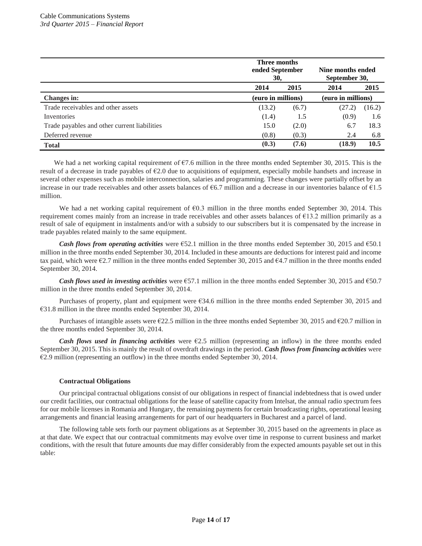|                                              | <b>Three months</b><br>ended September<br>30. |       | Nine months ended<br>September 30, |        |  |
|----------------------------------------------|-----------------------------------------------|-------|------------------------------------|--------|--|
|                                              | 2014                                          | 2015  | 2014                               | 2015   |  |
| <b>Changes in:</b>                           | (euro in millions)                            |       | (euro in millions)                 |        |  |
| Trade receivables and other assets           | (13.2)                                        | (6.7) | (27.2)                             | (16.2) |  |
| Inventories                                  | (1.4)                                         | 1.5   | (0.9)                              | 1.6    |  |
| Trade payables and other current liabilities | 15.0                                          | (2.0) | 6.7                                | 18.3   |  |
| Deferred revenue                             | (0.8)                                         | (0.3) | 2.4                                | 6.8    |  |
| <b>Total</b>                                 | (0.3)                                         | (7.6) | (18.9)                             | 10.5   |  |

We had a net working capital requirement of €7.6 million in the three months ended September 30, 2015. This is the result of a decrease in trade payables of €2.0 due to acquisitions of equipment, especially mobile handsets and increase in several other expenses such as mobile interconnection, salaries and programming. These changes were partially offset by an increase in our trade receivables and other assets balances of  $66.7$  million and a decrease in our inventories balance of  $61.5$ million.

We had a net working capital requirement of  $\epsilon$ 0.3 million in the three months ended September 30, 2014. This requirement comes mainly from an increase in trade receivables and other assets balances of €13.2 million primarily as a result of sale of equipment in instalments and/or with a subsidy to our subscribers but it is compensated by the increase in trade payables related mainly to the same equipment.

*Cash flows from operating activities* were €52.1 million in the three months ended September 30, 2015 and €50.1 million in the three months ended September 30, 2014. Included in these amounts are deductions for interest paid and income tax paid, which were  $\epsilon$ 2.7 million in the three months ended September 30, 2015 and  $\epsilon$ 4.7 million in the three months ended September 30, 2014.

*Cash flows used in investing activities* were €57.1 million in the three months ended September 30, 2015 and €50.7 million in the three months ended September 30, 2014.

Purchases of property, plant and equipment were €34.6 million in the three months ended September 30, 2015 and €31.8 million in the three months ended September 30, 2014.

Purchases of intangible assets were €22.5 million in the three months ended September 30, 2015 and €20.7 million in the three months ended September 30, 2014.

*Cash flows used in financing activities* were €2.5 million (representing an inflow) in the three months ended September 30, 2015. This is mainly the result of overdraft drawings in the period. *Cash flows from financing activities* were €2.9 million (representing an outflow) in the three months ended September 30, 2014.

# **Contractual Obligations**

Our principal contractual obligations consist of our obligations in respect of financial indebtedness that is owed under our credit facilities, our contractual obligations for the lease of satellite capacity from Intelsat, the annual radio spectrum fees for our mobile licenses in Romania and Hungary, the remaining payments for certain broadcasting rights, operational leasing arrangements and financial leasing arrangements for part of our headquarters in Bucharest and a parcel of land.

The following table sets forth our payment obligations as at September 30, 2015 based on the agreements in place as at that date. We expect that our contractual commitments may evolve over time in response to current business and market conditions, with the result that future amounts due may differ considerably from the expected amounts payable set out in this table: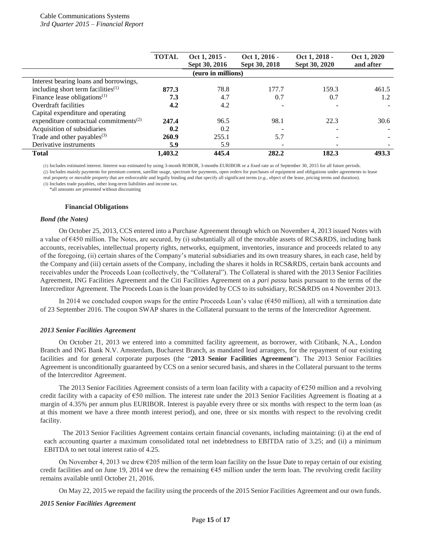|                                                    | <b>TOTAL</b> | Oct 1, 2015 -      | Oct 1, 2016 - | Oct 1, 2018 - | Oct 1, 2020 |
|----------------------------------------------------|--------------|--------------------|---------------|---------------|-------------|
|                                                    |              | Sept 30, 2016      | Sept 30, 2018 | Sept 30, 2020 | and after   |
|                                                    |              | (euro in millions) |               |               |             |
| Interest bearing loans and borrowings,             |              |                    |               |               |             |
| including short term facilities <sup>(1)</sup>     | 877.3        | 78.8               | 177.7         | 159.3         | 461.5       |
| Finance lease obligations $(1)$                    | 7.3          | 4.7                | 0.7           | 0.7           | 1.2         |
| Overdraft facilities                               | 4.2          | 4.2                |               |               |             |
| Capital expenditure and operating                  |              |                    |               |               |             |
| expenditure contractual commitments <sup>(2)</sup> | 247.4        | 96.5               | 98.1          | 22.3          | 30.6        |
| Acquisition of subsidiaries                        | 0.2          | 0.2                |               |               |             |
| Trade and other payables <sup>(3)</sup>            | 260.9        | 255.1              | 5.7           |               |             |
| Derivative instruments                             | 5.9          | 5.9                |               |               |             |
| <b>Total</b>                                       | 1,403.2      | 445.4              | 282.2         | 182.3         | 493.3       |

(1) Includes estimated interest. Interest was estimated by using 3-month ROBOR, 3-months EURIBOR or a fixed rate as of September 30, 2015 for all future periods. (2) Includes mainly payments for premium content, satellite usage, spectrum fee payments, open orders for purchases of equipment and obligations under agreements to lease real property or movable property that are enforceable and legally binding and that specify all significant terms (*e.g.*, object of the lease, pricing terms and duration).

(3) Includes trade payables, other long-term liabilities and income tax. \*all amounts are presented without discounting

# **Financial Obligations**

# *Bond (the Notes)*

On October 25, 2013, CCS entered into a Purchase Agreement through which on November 4, 2013 issued Notes with a value of €450 million. The Notes, are secured, by (i) substantially all of the movable assets of RCS&RDS, including bank accounts, receivables, intellectual property rights, networks, equipment, inventories, insurance and proceeds related to any of the foregoing, (ii) certain shares of the Company's material subsidiaries and its own treasury shares, in each case, held by the Company and (iii) certain assets of the Company, including the shares it holds in RCS&RDS, certain bank accounts and receivables under the Proceeds Loan (collectively, the "Collateral"). The Collateral is shared with the 2013 Senior Facilities Agreement, ING Facilities Agreement and the Citi Facilities Agreement on a *pari passu* basis pursuant to the terms of the Intercreditor Agreement. The Proceeds Loan is the loan provided by CCS to its subsidiary, RCS&RDS on 4 November 2013.

In 2014 we concluded coupon swaps for the entire Proceeds Loan's value (€450 million), all with a termination date of 23 September 2016. The coupon SWAP shares in the Collateral pursuant to the terms of the Intercreditor Agreement.

#### *2013 Senior Facilities Agreement*

On October 21, 2013 we entered into a committed facility agreement, as borrower, with Citibank, N.A., London Branch and ING Bank N.V. Amsterdam, Bucharest Branch, as mandated lead arrangers, for the repayment of our existing facilities and for general corporate purposes (the "**2013 Senior Facilities Agreement**"). The 2013 Senior Facilities Agreement is unconditionally guaranteed by CCS on a senior secured basis, and shares in the Collateral pursuant to the terms of the Intercreditor Agreement.

The 2013 Senior Facilities Agreement consists of a term loan facility with a capacity of €250 million and a revolving credit facility with a capacity of  $\epsilon$ 50 million. The interest rate under the 2013 Senior Facilities Agreement is floating at a margin of 4.35% per annum plus EURIBOR. Interest is payable every three or six months with respect to the term loan (as at this moment we have a three month interest period), and one, three or six months with respect to the revolving credit facility.

The 2013 Senior Facilities Agreement contains certain financial covenants, including maintaining: (i) at the end of each accounting quarter a maximum consolidated total net indebtedness to EBITDA ratio of 3.25; and (ii) a minimum EBITDA to net total interest ratio of 4.25.

On November 4, 2013 we drew  $\epsilon$ 205 million of the term loan facility on the Issue Date to repay certain of our existing credit facilities and on June 19, 2014 we drew the remaining €45 million under the term loan. The revolving credit facility remains available until October 21, 2016.

On May 22, 2015 we repaid the facility using the proceeds of the 2015 Senior Facilities Agreement and our own funds.

#### *2015 Senior Facilities Agreement*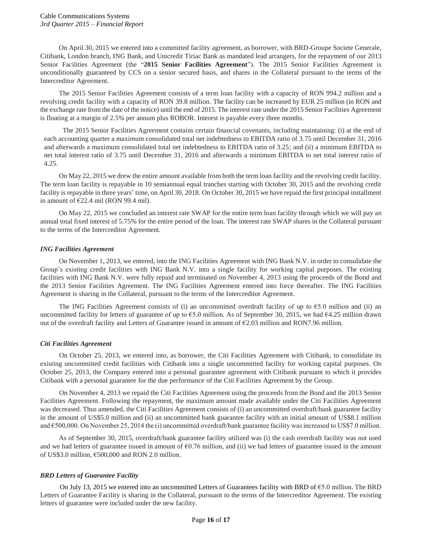On April 30, 2015 we entered into a committed facility agreement, as borrower, with BRD-Groupe Societe Generale, Citibank, London branch, ING Bank, and Unicredit Tiriac Bank as mandated lead arrangers, for the repayment of our 2013 Senior Facilities Agreement (the "**2015 Senior Facilities Agreement**"). The 2015 Senior Facilities Agreement is unconditionally guaranteed by CCS on a senior secured basis, and shares in the Collateral pursuant to the terms of the Intercreditor Agreement.

The 2015 Senior Facilities Agreement consists of a term loan facility with a capacity of RON 994.2 million and a revolving credit facility with a capacity of RON 39.8 million. The facility can be increased by EUR 25 million (in RON and the exchange rate from the date of the notice) until the end of 2015. The interest rate under the 2015 Senior Facilities Agreement is floating at a margin of 2.5% per annum plus ROBOR. Interest is payable every three months.

The 2015 Senior Facilities Agreement contains certain financial covenants, including maintaining: (i) at the end of each accounting quarter a maximum consolidated total net indebtedness to EBITDA ratio of 3.75 until December 31, 2016 and afterwards a maximum consolidated total net indebtedness to EBITDA ratio of 3.25; and (ii) a minimum EBITDA to net total interest ratio of 3.75 until December 31, 2016 and afterwards a minimum EBITDA to net total interest ratio of 4.25.

On May 22, 2015 we drew the entire amount available from both the term loan facility and the revolving credit facility. The term loan facility is repayable in 10 semiannual equal tranches starting with October 30, 2015 and the revolving credit facility is repayable in three years' time, on April 30, 2018. On October 30, 2015 we have repaid the first principal installment in amount of €22.4 mil (RON 99.4 mil).

On May 22, 2015 we concluded an interest rate SWAP for the entire term loan facility through which we will pay an annual total fixed interest of 5.75% for the entire period of the loan. The interest rate SWAP shares in the Collateral pursuant to the terms of the Intercreditor Agreement.

# *ING Facilities Agreement*

On November 1, 2013, we entered, into the ING Facilities Agreement with ING Bank N.V. in order to consolidate the Group's existing credit facilities with ING Bank N.V. into a single facility for working capital purposes. The existing facilities with ING Bank N.V. were fully repaid and terminated on November 4, 2013 using the proceeds of the Bond and the 2013 Senior Facilities Agreement. The ING Facilities Agreement entered into force thereafter. The ING Facilities Agreement is sharing in the Collateral, pursuant to the terms of the Intercreditor Agreement.

The ING Facilities Agreement consists of (i) an uncommitted overdraft facility of up to  $\epsilon$ 5.0 million and (ii) an uncommitted facility for letters of guarantee of up to  $65.0$  million. As of September 30, 2015, we had  $64.25$  million drawn out of the overdraft facility and Letters of Guarantee issued in amount of  $\epsilon$ 2.03 million and RON7.96 million.

# *Citi Facilities Agreement*

On October 25, 2013, we entered into, as borrower, the Citi Facilities Agreement with Citibank, to consolidate its existing uncommitted credit facilities with Citibank into a single uncommitted facility for working capital purposes. On October 25, 2013, the Company entered into a personal guarantee agreement with Citibank pursuant to which it provides Citibank with a personal guarantee for the due performance of the Citi Facilities Agreement by the Group.

On November 4, 2013 we repaid the Citi Facilities Agreement using the proceeds from the Bond and the 2013 Senior Facilities Agreement. Following the repayment, the maximum amount made available under the Citi Facilities Agreement was decreased. Thus amended, the Citi Facilities Agreement consists of (i) an uncommitted overdraft/bank guarantee facility in the amount of US\$5.0 million and (ii) an uncommitted bank guarantee facility with an initial amount of US\$8.1 million and €500,000. On November 25, 2014 the (i) uncommitted overdraft/bank guarantee facility was increased to US\$7.0 million.

As of September 30, 2015, overdraft/bank guarantee facility utilized was (i) the cash overdraft facility was not used and we had letters of guarantee issued in amount of  $60.76$  million, and (ii) we had letters of guarantee issued in the amount of US\$3.0 million,  $\epsilon$ 500,000 and RON 2.0 million.

# *BRD Letters of Guarantee Facility*

On July 13, 2015 we entered into an uncommitted Letters of Guarantees facility with BRD of €5.0 million. The BRD Letters of Guarantee Facility is sharing in the Collateral, pursuant to the terms of the Intercreditor Agreement. The existing letters of guarantee were included under the new facility.